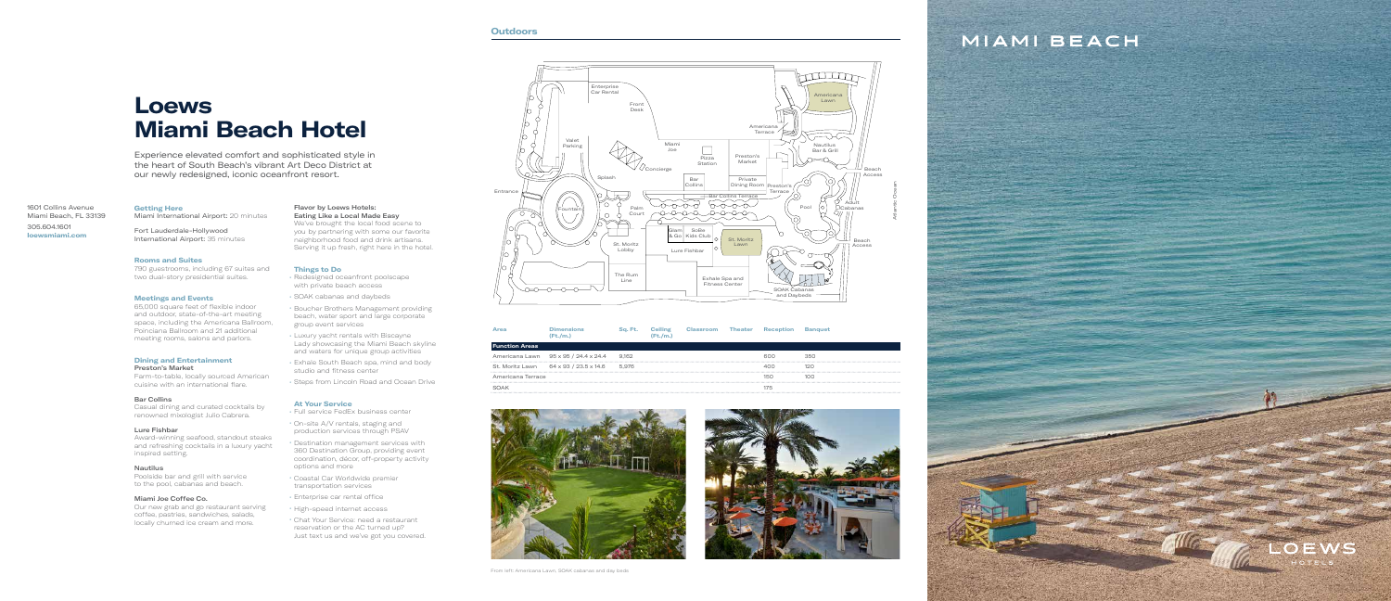# **Loews Miami Beach Hotel**

Experience elevated comfort and sophisticated style in the heart of South Beach's vibrant Art Deco District at our newly redesigned, iconic oceanfront resort.

1601 Collins Avenue Miami Beach, FL 33139 305.604.1601 **loewsmiami.com**

**Getting Here** Miami International Airport: 20 minutes

### Fort Lauderdale-Hollywood International Airport: 35 minutes

#### **Rooms and Suites**

790 guestrooms, including 67 suites and two dual-story presidential suites.

#### **Meetings and Events**

Poolside bar and grill with service to the pool, cabanas and beach.

65,000 square feet of flexible indoor and outdoor, state-of-the-art meeting space, including the Americana Ballroom, Poinciana Ballroom and 21 additional meeting rooms, salons and parlors.

#### **Dining and Entertainment** Preston's Market

We've brought the local food scene to you by partnering with some our favorite neighborhood food and drink artisans. Serving it up fresh, right here in the hotel.

Farm-to-table, locally sourced American cuisine with an international flare.

#### Bar Collins

Casual dining and curated cocktails by renowned mixologist Julio Cabrera.

#### Lure Fishbar

Award-winning seafood, standout steaks and refreshing cocktails in a luxury yacht inspired setting.

#### Nautilus

#### Miami Joe Coffee Co.

Our new grab and go restaurant serving coffee, pastries, sandwiches, salads, locally churned ice cream and more.

#### Flavor by Loews Hotels: Eating Like a Local Made Easy

### **Things to Do**

- Redesigned oceanfront poolscape with private beach access
- SOAK cabanas and daybeds
- Boucher Brothers Management providing beach, water sport and large corporate group event services
- Luxury yacht rentals with Biscayne Lady showcasing the Miami Beach skyline and waters for unique group activities
- Exhale South Beach spa, mind and body studio and fitness center
- Steps from Lincoln Road and Ocean Drive

### **At Your Service**

- Full service FedEx business center
- On-site A/V rentals, staging and production services through PSAV
- Destination management services with 360 Destination Group, providing event coordination, décor, off-property activity options and more
- Coastal Car Worldwide premier transportation services
- Enterprise car rental office
- High-speed internet access
- Chat Your Service: need a restaurant reservation or the AC turned up? Just text us and we've got you covered.



|                       | (Ft./m.)              |       | (Ft./m.) | Classroom | <b>Theater</b> |     |     |
|-----------------------|-----------------------|-------|----------|-----------|----------------|-----|-----|
| <b>Function Areas</b> |                       |       |          |           |                |     |     |
| Americana Lawn        | 95 x 95 / 24.4 x 24.4 | 9.162 |          |           |                | റെറ | 350 |
| St. Moritz Lawn       | 64 x 93 / 23.5 x 14.6 | 5.976 |          |           |                |     |     |
| Americana Terrace     |                       |       |          |           |                | 150 | 100 |
| <b>SOAK</b>           |                       |       |          |           |                | 175 |     |
|                       |                       |       |          |           |                |     |     |





## MIAMI BEACH